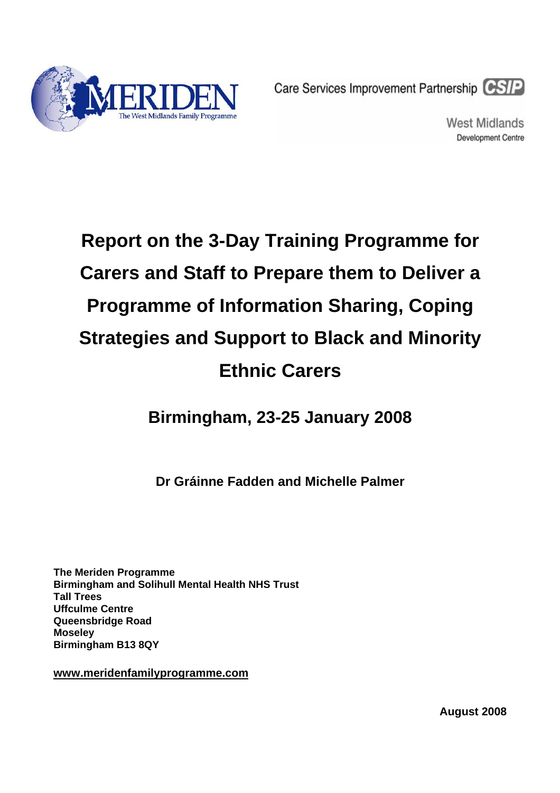

Care Services Improvement Partnership CSIP

West Midlands **Development Centre** 

# **Report on the 3-Day Training Programme for Carers and Staff to Prepare them to Deliver a Programme of Information Sharing, Coping Strategies and Support to Black and Minority Ethnic Carers**

**Birmingham, 23-25 January 2008** 

**Dr Gráinne Fadden and Michelle Palmer** 

**The Meriden Programme Birmingham and Solihull Mental Health NHS Trust Tall Trees Uffculme Centre Queensbridge Road Moseley Birmingham B13 8QY** 

**[www.meridenfamilyprogramme.com](http://www.meridenfamilyprogramme.com/)**

**August 2008**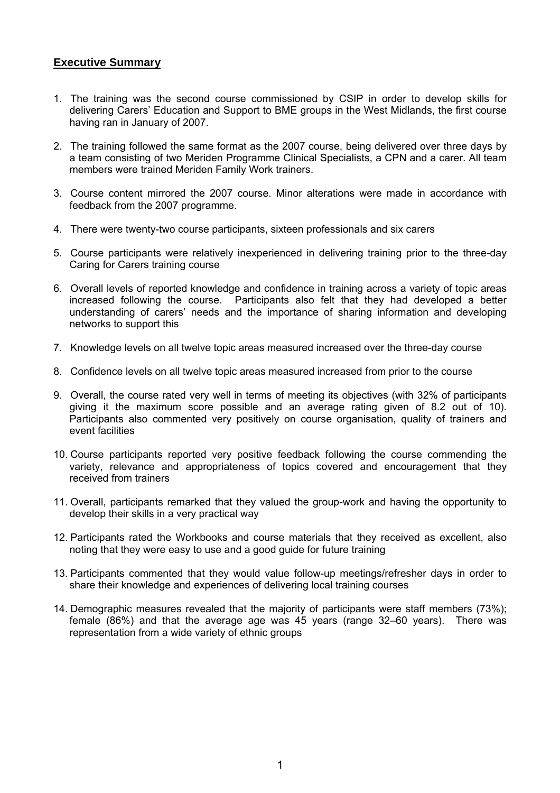#### **Executive Summary**

- 1. The training was the second course commissioned by CSIP in order to develop skills for delivering Carers' Education and Support to BME groups in the West Midlands, the first course having ran in January of 2007.
- 2. The training followed the same format as the 2007 course, being delivered over three days by a team consisting of two Meriden Programme Clinical Specialists, a CPN and a carer. All team members were trained Meriden Family Work trainers.
- 3. Course content mirrored the 2007 course. Minor alterations were made in accordance with feedback from the 2007 programme.
- 4. There were twenty-two course participants, sixteen professionals and six carers
- 5. Course participants were relatively inexperienced in delivering training prior to the three-day Caring for Carers training course
- 6. Overall levels of reported knowledge and confidence in training across a variety of topic areas increased following the course. Participants also felt that they had developed a better understanding of carers' needs and the importance of sharing information and developing networks to support this
- 7. Knowledge levels on all twelve topic areas measured increased over the three-day course
- 8. Confidence levels on all twelve topic areas measured increased from prior to the course
- 9. Overall, the course rated very well in terms of meeting its objectives (with 32% of participants giving it the maximum score possible and an average rating given of 8.2 out of 10). Participants also commented very positively on course organisation, quality of trainers and event facilities
- 10. Course participants reported very positive feedback following the course commending the variety, relevance and appropriateness of topics covered and encouragement that they received from trainers
- 11. Overall, participants remarked that they valued the group-work and having the opportunity to develop their skills in a very practical way
- 12. Participants rated the Workbooks and course materials that they received as excellent, also noting that they were easy to use and a good guide for future training
- 13. Participants commented that they would value follow-up meetings/refresher days in order to share their knowledge and experiences of delivering local training courses
- 14. Demographic measures revealed that the majority of participants were staff members (73%); female (86%) and that the average age was 45 years (range 32–60 years). There was representation from a wide variety of ethnic groups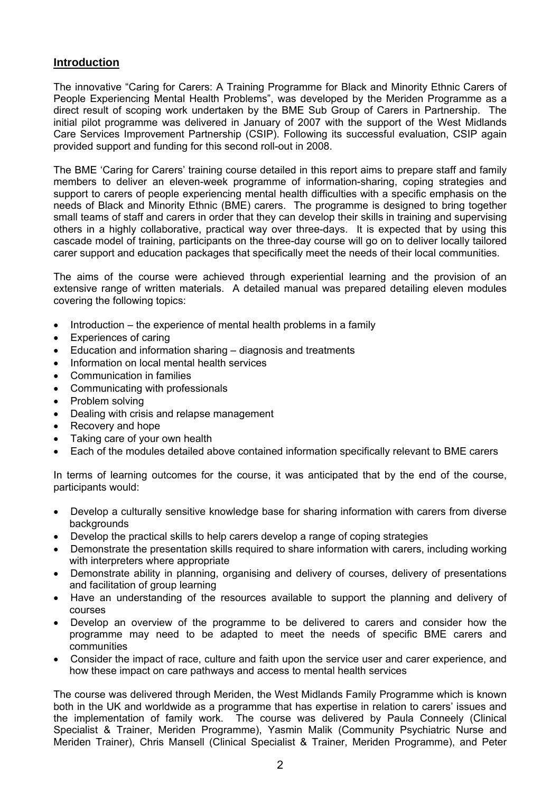#### **Introduction**

The innovative "Caring for Carers: A Training Programme for Black and Minority Ethnic Carers of People Experiencing Mental Health Problems", was developed by the Meriden Programme as a direct result of scoping work undertaken by the BME Sub Group of Carers in Partnership. The initial pilot programme was delivered in January of 2007 with the support of the West Midlands Care Services Improvement Partnership (CSIP). Following its successful evaluation, CSIP again provided support and funding for this second roll-out in 2008.

The BME 'Caring for Carers' training course detailed in this report aims to prepare staff and family members to deliver an eleven-week programme of information-sharing, coping strategies and support to carers of people experiencing mental health difficulties with a specific emphasis on the needs of Black and Minority Ethnic (BME) carers. The programme is designed to bring together small teams of staff and carers in order that they can develop their skills in training and supervising others in a highly collaborative, practical way over three-days. It is expected that by using this cascade model of training, participants on the three-day course will go on to deliver locally tailored carer support and education packages that specifically meet the needs of their local communities.

The aims of the course were achieved through experiential learning and the provision of an extensive range of written materials. A detailed manual was prepared detailing eleven modules covering the following topics:

- Introduction the experience of mental health problems in a family
- Experiences of caring
- Education and information sharing diagnosis and treatments
- Information on local mental health services
- Communication in families
- Communicating with professionals
- Problem solving
- Dealing with crisis and relapse management
- Recovery and hope
- Taking care of your own health
- Each of the modules detailed above contained information specifically relevant to BME carers

In terms of learning outcomes for the course, it was anticipated that by the end of the course, participants would:

- Develop a culturally sensitive knowledge base for sharing information with carers from diverse backgrounds
- Develop the practical skills to help carers develop a range of coping strategies
- Demonstrate the presentation skills required to share information with carers, including working with interpreters where appropriate
- Demonstrate ability in planning, organising and delivery of courses, delivery of presentations and facilitation of group learning
- Have an understanding of the resources available to support the planning and delivery of courses
- Develop an overview of the programme to be delivered to carers and consider how the programme may need to be adapted to meet the needs of specific BME carers and communities
- Consider the impact of race, culture and faith upon the service user and carer experience, and how these impact on care pathways and access to mental health services

The course was delivered through Meriden, the West Midlands Family Programme which is known both in the UK and worldwide as a programme that has expertise in relation to carers' issues and the implementation of family work. The course was delivered by Paula Conneely (Clinical Specialist & Trainer, Meriden Programme), Yasmin Malik (Community Psychiatric Nurse and Meriden Trainer), Chris Mansell (Clinical Specialist & Trainer, Meriden Programme), and Peter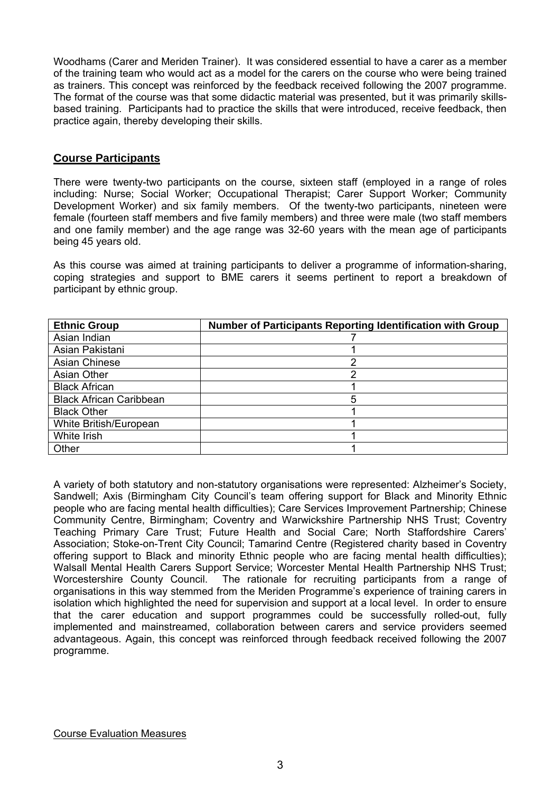Woodhams (Carer and Meriden Trainer). It was considered essential to have a carer as a member of the training team who would act as a model for the carers on the course who were being trained as trainers. This concept was reinforced by the feedback received following the 2007 programme. The format of the course was that some didactic material was presented, but it was primarily skillsbased training. Participants had to practice the skills that were introduced, receive feedback, then practice again, thereby developing their skills.

#### **Course Participants**

There were twenty-two participants on the course, sixteen staff (employed in a range of roles including: Nurse; Social Worker; Occupational Therapist; Carer Support Worker; Community Development Worker) and six family members. Of the twenty-two participants, nineteen were female (fourteen staff members and five family members) and three were male (two staff members and one family member) and the age range was 32-60 years with the mean age of participants being 45 years old.

As this course was aimed at training participants to deliver a programme of information-sharing, coping strategies and support to BME carers it seems pertinent to report a breakdown of participant by ethnic group.

| <b>Ethnic Group</b>            | Number of Participants Reporting Identification with Group |
|--------------------------------|------------------------------------------------------------|
| Asian Indian                   |                                                            |
| Asian Pakistani                |                                                            |
| <b>Asian Chinese</b>           | ⌒                                                          |
| Asian Other                    |                                                            |
| <b>Black African</b>           |                                                            |
| <b>Black African Caribbean</b> | 5                                                          |
| <b>Black Other</b>             |                                                            |
| White British/European         |                                                            |
| White Irish                    |                                                            |
| Other                          |                                                            |

A variety of both statutory and non-statutory organisations were represented: Alzheimer's Society, Sandwell; Axis (Birmingham City Council's team offering support for Black and Minority Ethnic people who are facing mental health difficulties); Care Services Improvement Partnership; Chinese Community Centre, Birmingham; Coventry and Warwickshire Partnership NHS Trust; Coventry Teaching Primary Care Trust; Future Health and Social Care; North Staffordshire Carers' Association; Stoke-on-Trent City Council; Tamarind Centre (Registered charity based in Coventry offering support to Black and minority Ethnic people who are facing mental health difficulties); Walsall Mental Health Carers Support Service; Worcester Mental Health Partnership NHS Trust; Worcestershire County Council. The rationale for recruiting participants from a range of organisations in this way stemmed from the Meriden Programme's experience of training carers in isolation which highlighted the need for supervision and support at a local level. In order to ensure that the carer education and support programmes could be successfully rolled-out, fully implemented and mainstreamed, collaboration between carers and service providers seemed advantageous. Again, this concept was reinforced through feedback received following the 2007 programme.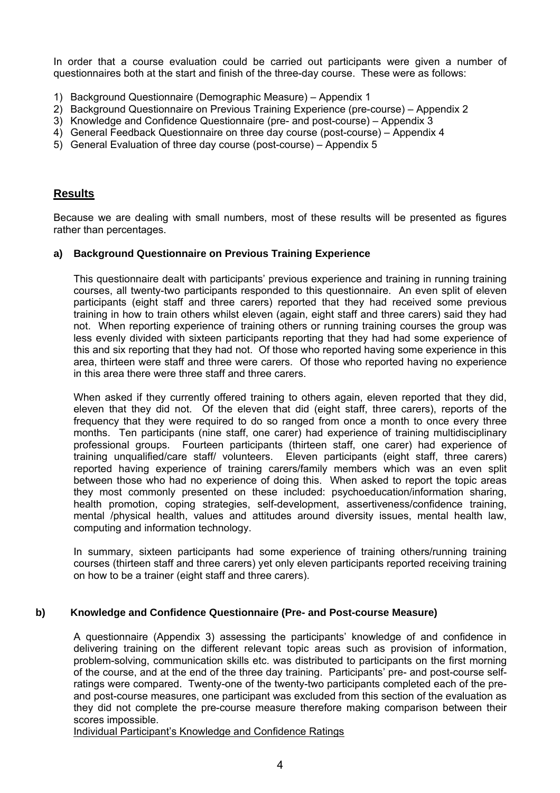In order that a course evaluation could be carried out participants were given a number of questionnaires both at the start and finish of the three-day course. These were as follows:

- 1) Background Questionnaire (Demographic Measure) Appendix 1
- 2) Background Questionnaire on Previous Training Experience (pre-course) Appendix 2
- 3) Knowledge and Confidence Questionnaire (pre- and post-course) Appendix 3
- 4) General Feedback Questionnaire on three day course (post-course) Appendix 4
- 5) General Evaluation of three day course (post-course) Appendix 5

#### **Results**

Because we are dealing with small numbers, most of these results will be presented as figures rather than percentages.

#### **a) Background Questionnaire on Previous Training Experience**

This questionnaire dealt with participants' previous experience and training in running training courses, all twenty-two participants responded to this questionnaire. An even split of eleven participants (eight staff and three carers) reported that they had received some previous training in how to train others whilst eleven (again, eight staff and three carers) said they had not. When reporting experience of training others or running training courses the group was less evenly divided with sixteen participants reporting that they had had some experience of this and six reporting that they had not. Of those who reported having some experience in this area, thirteen were staff and three were carers. Of those who reported having no experience in this area there were three staff and three carers.

When asked if they currently offered training to others again, eleven reported that they did, eleven that they did not. Of the eleven that did (eight staff, three carers), reports of the frequency that they were required to do so ranged from once a month to once every three months. Ten participants (nine staff, one carer) had experience of training multidisciplinary professional groups. Fourteen participants (thirteen staff, one carer) had experience of training unqualified/care staff/ volunteers. Eleven participants (eight staff, three carers) reported having experience of training carers/family members which was an even split between those who had no experience of doing this. When asked to report the topic areas they most commonly presented on these included: psychoeducation/information sharing, health promotion, coping strategies, self-development, assertiveness/confidence training, mental /physical health, values and attitudes around diversity issues, mental health law, computing and information technology.

 In summary, sixteen participants had some experience of training others/running training courses (thirteen staff and three carers) yet only eleven participants reported receiving training on how to be a trainer (eight staff and three carers).

#### **b) Knowledge and Confidence Questionnaire (Pre- and Post-course Measure)**

A questionnaire (Appendix 3) assessing the participants' knowledge of and confidence in delivering training on the different relevant topic areas such as provision of information, problem-solving, communication skills etc. was distributed to participants on the first morning of the course, and at the end of the three day training. Participants' pre- and post-course selfratings were compared. Twenty-one of the twenty-two participants completed each of the preand post-course measures, one participant was excluded from this section of the evaluation as they did not complete the pre-course measure therefore making comparison between their scores impossible.

Individual Participant's Knowledge and Confidence Ratings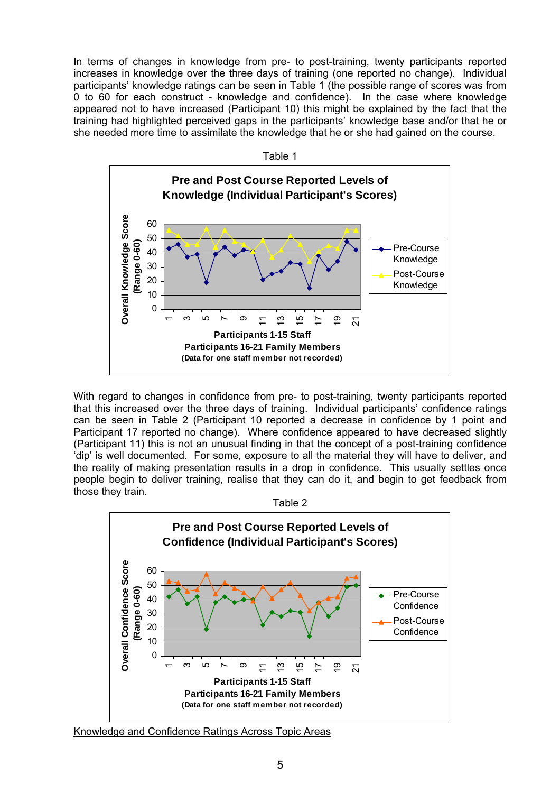In terms of changes in knowledge from pre- to post-training, twenty participants reported increases in knowledge over the three days of training (one reported no change). Individual participants' knowledge ratings can be seen in Table 1 (the possible range of scores was from 0 to 60 for each construct - knowledge and confidence). In the case where knowledge appeared not to have increased (Participant 10) this might be explained by the fact that the training had highlighted perceived gaps in the participants' knowledge base and/or that he or she needed more time to assimilate the knowledge that he or she had gained on the course.



With regard to changes in confidence from pre- to post-training, twenty participants reported that this increased over the three days of training. Individual participants' confidence ratings can be seen in Table 2 (Participant 10 reported a decrease in confidence by 1 point and Participant 17 reported no change). Where confidence appeared to have decreased slightly (Participant 11) this is not an unusual finding in that the concept of a post-training confidence 'dip' is well documented. For some, exposure to all the material they will have to deliver, and the reality of making presentation results in a drop in confidence. This usually settles once people begin to deliver training, realise that they can do it, and begin to get feedback from those they train.





Knowledge and Confidence Ratings Across Topic Areas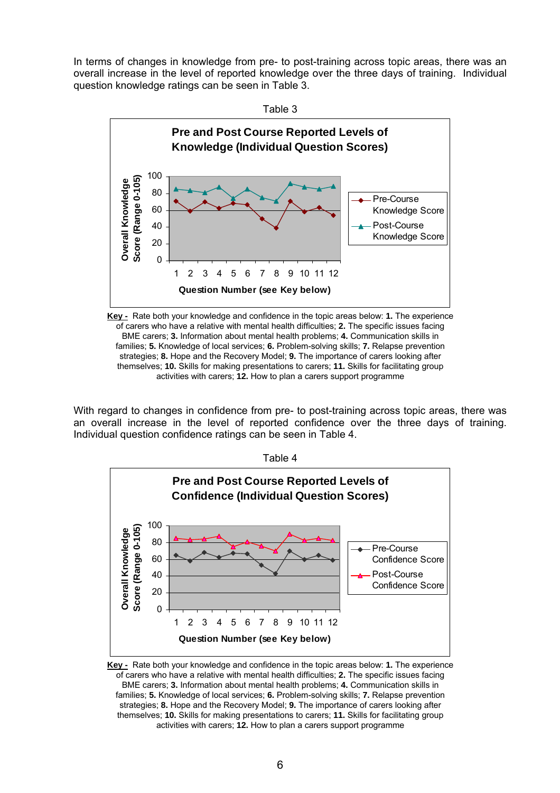In terms of changes in knowledge from pre- to post-training across topic areas, there was an overall increase in the level of reported knowledge over the three days of training. Individual question knowledge ratings can be seen in Table 3.



**Key -** Rate both your knowledge and confidence in the topic areas below: **1.** The experience of carers who have a relative with mental health difficulties; **2.** The specific issues facing BME carers; **3.** Information about mental health problems; **4.** Communication skills in families; **5.** Knowledge of local services; **6.** Problem-solving skills; **7.** Relapse prevention strategies; **8.** Hope and the Recovery Model; **9.** The importance of carers looking after themselves; **10.** Skills for making presentations to carers; **11.** Skills for facilitating group activities with carers; **12.** How to plan a carers support programme

With regard to changes in confidence from pre- to post-training across topic areas, there was an overall increase in the level of reported confidence over the three days of training. Individual question confidence ratings can be seen in Table 4.



**Key -** Rate both your knowledge and confidence in the topic areas below: **1.** The experience of carers who have a relative with mental health difficulties; **2.** The specific issues facing BME carers; **3.** Information about mental health problems; **4.** Communication skills in families; **5.** Knowledge of local services; **6.** Problem-solving skills; **7.** Relapse prevention strategies; **8.** Hope and the Recovery Model; **9.** The importance of carers looking after themselves; **10.** Skills for making presentations to carers; **11.** Skills for facilitating group activities with carers; **12.** How to plan a carers support programme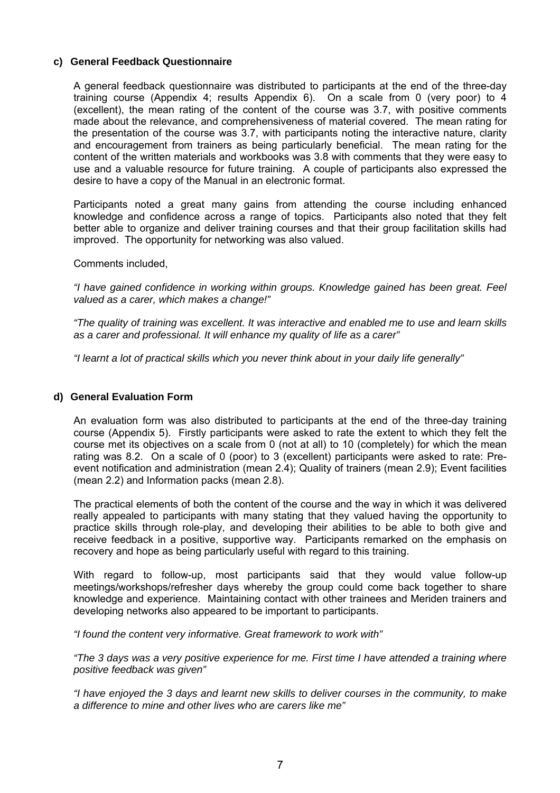#### **c) General Feedback Questionnaire**

 A general feedback questionnaire was distributed to participants at the end of the three-day training course (Appendix 4; results Appendix 6). On a scale from 0 (very poor) to 4 (excellent), the mean rating of the content of the course was 3.7, with positive comments made about the relevance, and comprehensiveness of material covered. The mean rating for the presentation of the course was 3.7, with participants noting the interactive nature, clarity and encouragement from trainers as being particularly beneficial. The mean rating for the content of the written materials and workbooks was 3.8 with comments that they were easy to use and a valuable resource for future training. A couple of participants also expressed the desire to have a copy of the Manual in an electronic format.

 Participants noted a great many gains from attending the course including enhanced knowledge and confidence across a range of topics. Participants also noted that they felt better able to organize and deliver training courses and that their group facilitation skills had improved. The opportunity for networking was also valued.

#### Comments included,

*"I have gained confidence in working within groups. Knowledge gained has been great. Feel valued as a carer, which makes a change!"* 

 *"The quality of training was excellent. It was interactive and enabled me to use and learn skills as a carer and professional. It will enhance my quality of life as a carer"* 

 *"I learnt a lot of practical skills which you never think about in your daily life generally"* 

#### **d) General Evaluation Form**

An evaluation form was also distributed to participants at the end of the three-day training course (Appendix 5). Firstly participants were asked to rate the extent to which they felt the course met its objectives on a scale from 0 (not at all) to 10 (completely) for which the mean rating was 8.2. On a scale of 0 (poor) to 3 (excellent) participants were asked to rate: Preevent notification and administration (mean 2.4); Quality of trainers (mean 2.9); Event facilities (mean 2.2) and Information packs (mean 2.8).

 The practical elements of both the content of the course and the way in which it was delivered really appealed to participants with many stating that they valued having the opportunity to practice skills through role-play, and developing their abilities to be able to both give and receive feedback in a positive, supportive way. Participants remarked on the emphasis on recovery and hope as being particularly useful with regard to this training.

 With regard to follow-up, most participants said that they would value follow-up meetings/workshops/refresher days whereby the group could come back together to share knowledge and experience. Maintaining contact with other trainees and Meriden trainers and developing networks also appeared to be important to participants.

*"I found the content very informative. Great framework to work with"* 

*"The 3 days was a very positive experience for me. First time I have attended a training where positive feedback was given"* 

*"I have enjoyed the 3 days and learnt new skills to deliver courses in the community, to make a difference to mine and other lives who are carers like me"*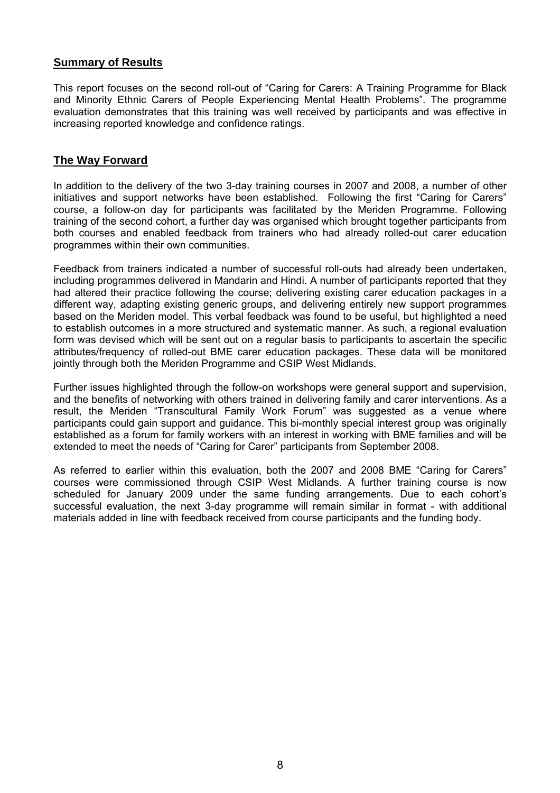#### **Summary of Results**

This report focuses on the second roll-out of "Caring for Carers: A Training Programme for Black and Minority Ethnic Carers of People Experiencing Mental Health Problems". The programme evaluation demonstrates that this training was well received by participants and was effective in increasing reported knowledge and confidence ratings.

#### **The Way Forward**

In addition to the delivery of the two 3-day training courses in 2007 and 2008, a number of other initiatives and support networks have been established. Following the first "Caring for Carers" course, a follow-on day for participants was facilitated by the Meriden Programme. Following training of the second cohort, a further day was organised which brought together participants from both courses and enabled feedback from trainers who had already rolled-out carer education programmes within their own communities.

Feedback from trainers indicated a number of successful roll-outs had already been undertaken, including programmes delivered in Mandarin and Hindi. A number of participants reported that they had altered their practice following the course; delivering existing carer education packages in a different way, adapting existing generic groups, and delivering entirely new support programmes based on the Meriden model. This verbal feedback was found to be useful, but highlighted a need to establish outcomes in a more structured and systematic manner. As such, a regional evaluation form was devised which will be sent out on a regular basis to participants to ascertain the specific attributes/frequency of rolled-out BME carer education packages. These data will be monitored jointly through both the Meriden Programme and CSIP West Midlands.

Further issues highlighted through the follow-on workshops were general support and supervision, and the benefits of networking with others trained in delivering family and carer interventions. As a result, the Meriden "Transcultural Family Work Forum" was suggested as a venue where participants could gain support and guidance. This bi-monthly special interest group was originally established as a forum for family workers with an interest in working with BME families and will be extended to meet the needs of "Caring for Carer" participants from September 2008.

As referred to earlier within this evaluation, both the 2007 and 2008 BME "Caring for Carers" courses were commissioned through CSIP West Midlands. A further training course is now scheduled for January 2009 under the same funding arrangements. Due to each cohort's successful evaluation, the next 3-day programme will remain similar in format - with additional materials added in line with feedback received from course participants and the funding body.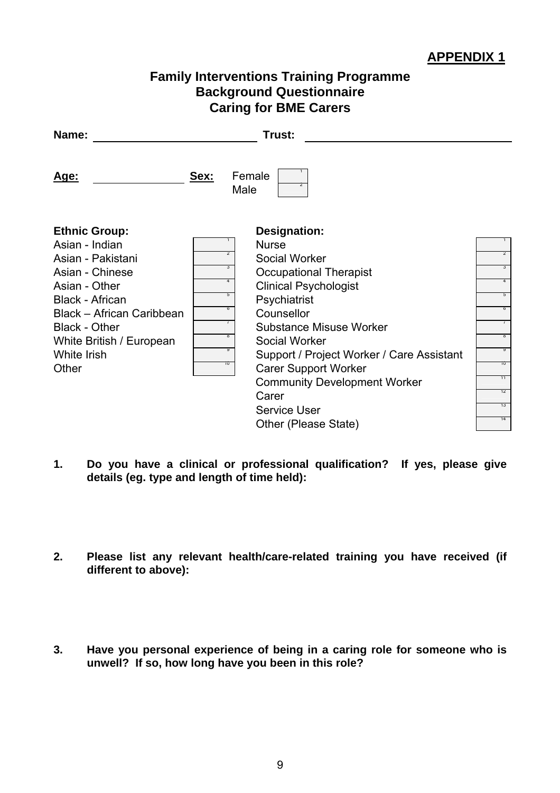# **Family Interventions Training Programme Background Questionnaire Caring for BME Carers**

| Name:                                                                                                                                                                                                                              |                                                                | Trust:                                                                                                                                                                                                                                                                                                                                                                     |                                                                                                       |
|------------------------------------------------------------------------------------------------------------------------------------------------------------------------------------------------------------------------------------|----------------------------------------------------------------|----------------------------------------------------------------------------------------------------------------------------------------------------------------------------------------------------------------------------------------------------------------------------------------------------------------------------------------------------------------------------|-------------------------------------------------------------------------------------------------------|
| <u> Age:</u>                                                                                                                                                                                                                       | Sex:<br>Male                                                   | Female<br>2                                                                                                                                                                                                                                                                                                                                                                |                                                                                                       |
| <b>Ethnic Group:</b><br>Asian - Indian<br>Asian - Pakistani<br>Asian - Chinese<br>Asian - Other<br><b>Black - African</b><br>Black - African Caribbean<br><b>Black - Other</b><br>White British / European<br>White Irish<br>Other | $\overline{z}$<br>3<br>4<br>5<br>b<br>$\prime$<br>ö<br>y<br>10 | Designation:<br><b>Nurse</b><br>Social Worker<br><b>Occupational Therapist</b><br><b>Clinical Psychologist</b><br>Psychiatrist<br>Counsellor<br><b>Substance Misuse Worker</b><br>Social Worker<br>Support / Project Worker / Care Assistant<br><b>Carer Support Worker</b><br><b>Community Development Worker</b><br>Carer<br><b>Service User</b><br>Other (Please State) | $\overline{z}$<br>$\overline{3}$<br>4<br>5<br>6<br>$\sqrt{2}$<br>ö<br>y<br>10<br>11<br>12<br>13<br>14 |

- **1. Do you have a clinical or professional qualification? If yes, please give details (eg. type and length of time held):**
- **2. Please list any relevant health/care-related training you have received (if different to above):**
- **3. Have you personal experience of being in a caring role for someone who is unwell? If so, how long have you been in this role?**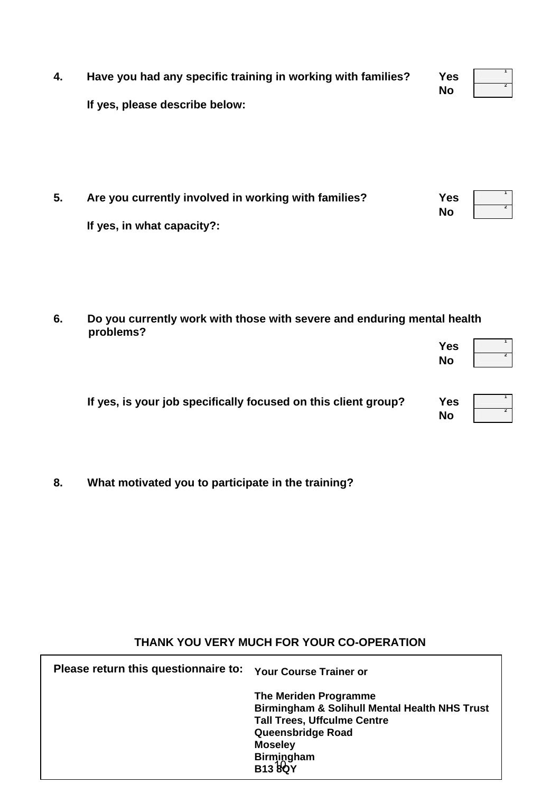| 4. | Have you had any specific training in working with families? | <b>Yes</b> | $\mathbf{1}$   |
|----|--------------------------------------------------------------|------------|----------------|
|    | If yes, please describe below:                               | <b>No</b>  | $\overline{2}$ |
| 5. | Are you currently involved in working with families?         | <b>Yes</b> | $\mathbf{1}$   |
|    | If yes, in what capacity?:                                   | <b>No</b>  | $\overline{2}$ |

#### **6. Do you currently work with those with severe and enduring mental health problems?**

|                                                                | <b>Yes</b><br><b>No</b> |  |
|----------------------------------------------------------------|-------------------------|--|
| If yes, is your job specifically focused on this client group? | <b>Yes</b><br><b>No</b> |  |

**8. What motivated you to participate in the training?** 

# **THANK YOU VERY MUCH FOR YOUR CO-OPERATION**

**Please return this questionnaire to: Your Course Trainer or**  Birmingham<br>**B13 &O**Y **The Meriden Programme Birmingham & Solihull Mental Health NHS Trust Tall Trees, Uffculme Centre Queensbridge Road Moseley B13 8QY**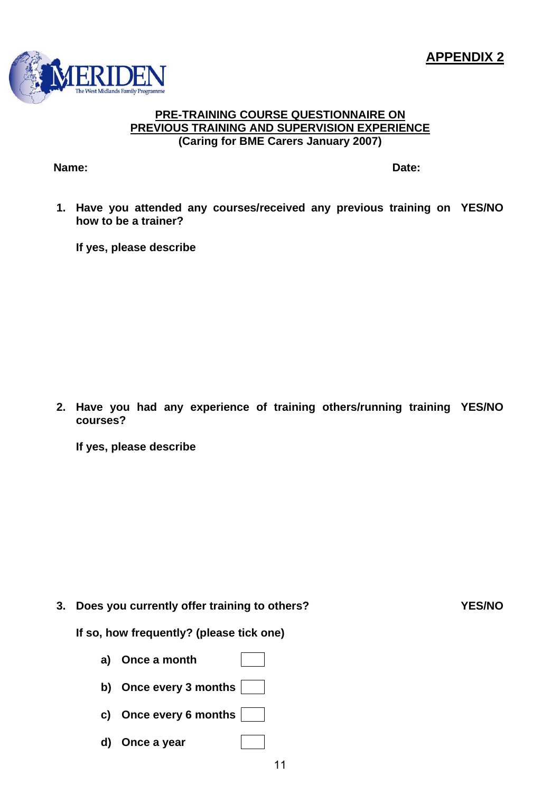

#### **PRE-TRAINING COURSE QUESTIONNAIRE ON PREVIOUS TRAINING AND SUPERVISION EXPERIENCE (Caring for BME Carers January 2007)**

**Name:** Date:

**1. Have you attended any courses/received any previous training on YES/NO how to be a trainer?** 

**If yes, please describe** 

**2. Have you had any experience of training others/running training YES/NO courses?** 

**If yes, please describe** 

**3. Does you currently offer training to others? YES/NO**

**If so, how frequently? (please tick one)** 

- **a) Once a month**
- **b) Once every 3 months**
- **c) Once every 6 months**
- **d) Once a year**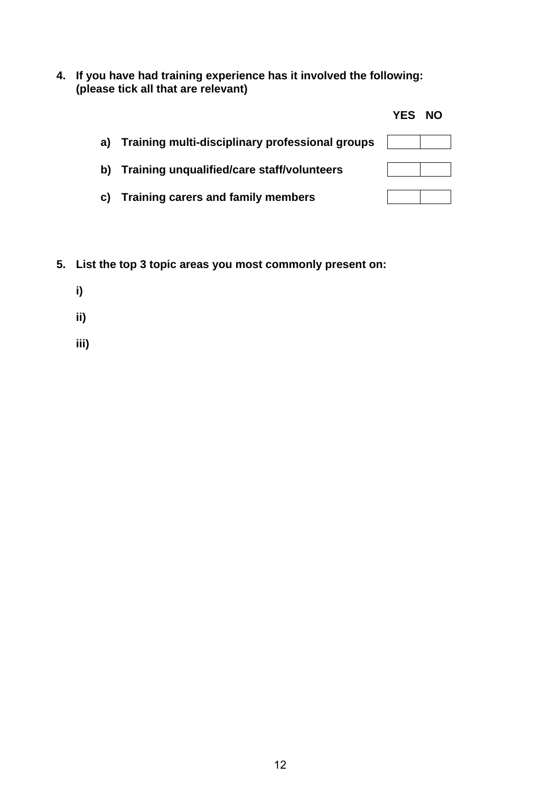**4. If you have had training experience has it involved the following: (please tick all that are relevant)** 

|                                                    | <b>YES</b> | <b>NO</b> |
|----------------------------------------------------|------------|-----------|
| a) Training multi-disciplinary professional groups |            |           |
| b) Training unqualified/care staff/volunteers      |            |           |
| c) Training carers and family members              |            |           |

- **5. List the top 3 topic areas you most commonly present on:** 
	- **i)**
	-
	- **ii)**
	- **iii)**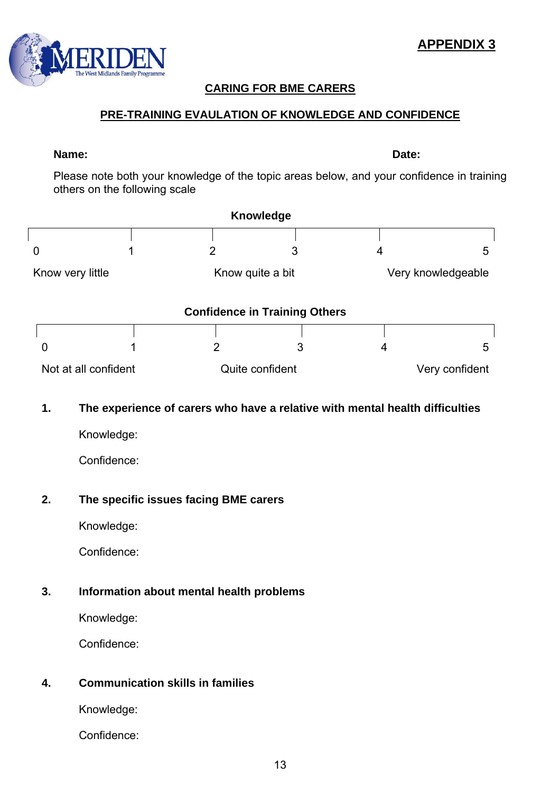# **CARING FOR BME CARERS**

## **PRE-TRAINING EVAULATION OF KNOWLEDGE AND CONFIDENCE**

#### **Name:** Date:

 $\sqrt{ }$ 

Please note both your knowledge of the topic areas below, and your confidence in training others on the following scale

|    |                                                                              |                  | Knowledge                            |   |                    |
|----|------------------------------------------------------------------------------|------------------|--------------------------------------|---|--------------------|
| 0  |                                                                              | $\overline{2}$   | 3                                    | 4 | 5                  |
|    | Know very little                                                             | Know quite a bit |                                      |   | Very knowledgeable |
|    |                                                                              |                  | <b>Confidence in Training Others</b> |   |                    |
| O  |                                                                              | $\overline{2}$   | 3                                    | 4 | 5                  |
|    | Not at all confident                                                         |                  | Quite confident                      |   | Very confident     |
| 1. | The experience of carers who have a relative with mental health difficulties |                  |                                      |   |                    |
|    | Knowledge:                                                                   |                  |                                      |   |                    |
|    | Confidence:                                                                  |                  |                                      |   |                    |
| 2. | The specific issues facing BME carers                                        |                  |                                      |   |                    |
|    | Knowledge:                                                                   |                  |                                      |   |                    |
|    | Confidence:                                                                  |                  |                                      |   |                    |

## **3. Information about mental health problems**

Knowledge:

Confidence:

## **4. Communication skills in families**

Knowledge:

Confidence:

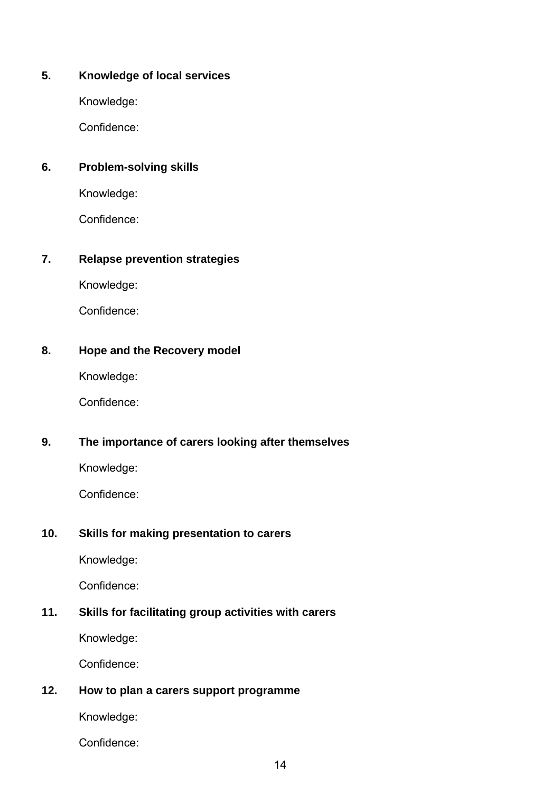## **5. Knowledge of local services**

Knowledge:

Confidence:

## **6. Problem-solving skills**

Knowledge:

Confidence:

## **7. Relapse prevention strategies**

Knowledge:

Confidence:

# **8. Hope and the Recovery model**

Knowledge:

Confidence:

# **9. The importance of carers looking after themselves**

Knowledge:

Confidence:

# **10. Skills for making presentation to carers**

Knowledge:

Confidence:

# **11. Skills for facilitating group activities with carers**

Knowledge:

Confidence:

# **12. How to plan a carers support programme**

Knowledge:

Confidence: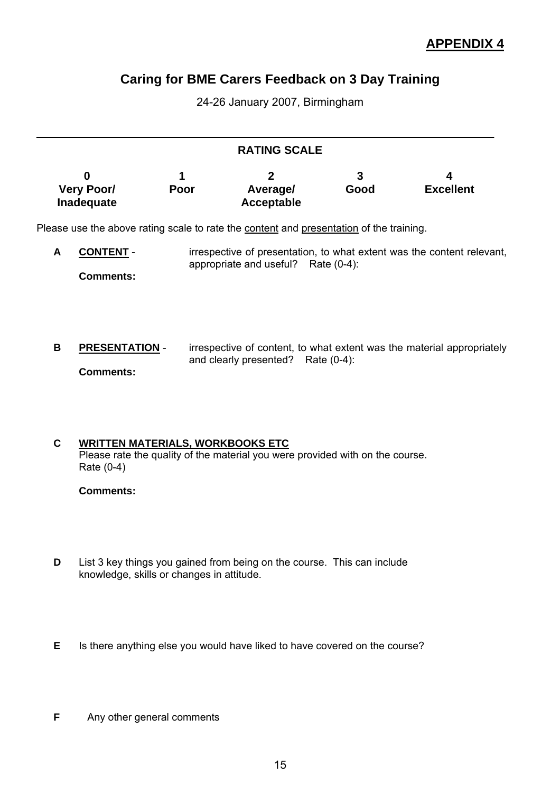# **Caring for BME Carers Feedback on 3 Day Training**

24-26 January 2007, Birmingham

| 0<br><b>Very Poor/</b><br>Inadequate | 1<br>Poor | $\mathbf{2}$<br>Average/<br>Acceptable | 3<br>Good | 4<br><b>Excellent</b>                                                                                                                                                                                                                                                                                                                           |
|--------------------------------------|-----------|----------------------------------------|-----------|-------------------------------------------------------------------------------------------------------------------------------------------------------------------------------------------------------------------------------------------------------------------------------------------------------------------------------------------------|
|                                      |           |                                        |           |                                                                                                                                                                                                                                                                                                                                                 |
| <b>CONTENT -</b><br><b>Comments:</b> |           |                                        |           |                                                                                                                                                                                                                                                                                                                                                 |
| <b>Comments:</b>                     |           |                                        |           |                                                                                                                                                                                                                                                                                                                                                 |
|                                      |           | <b>PRESENTATION -</b>                  |           | <b>RATING SCALE</b><br>Please use the above rating scale to rate the content and presentation of the training.<br>irrespective of presentation, to what extent was the content relevant,<br>appropriate and useful? Rate (0-4):<br>irrespective of content, to what extent was the material appropriately<br>and clearly presented? Rate (0-4): |

#### **C WRITTEN MATERIALS, WORKBOOKS ETC** Please rate the quality of the material you were provided with on the course. Rate (0-4)

#### **Comments:**

- **D** List 3 key things you gained from being on the course. This can include knowledge, skills or changes in attitude.
- **E** Is there anything else you would have liked to have covered on the course?
- **F** Any other general comments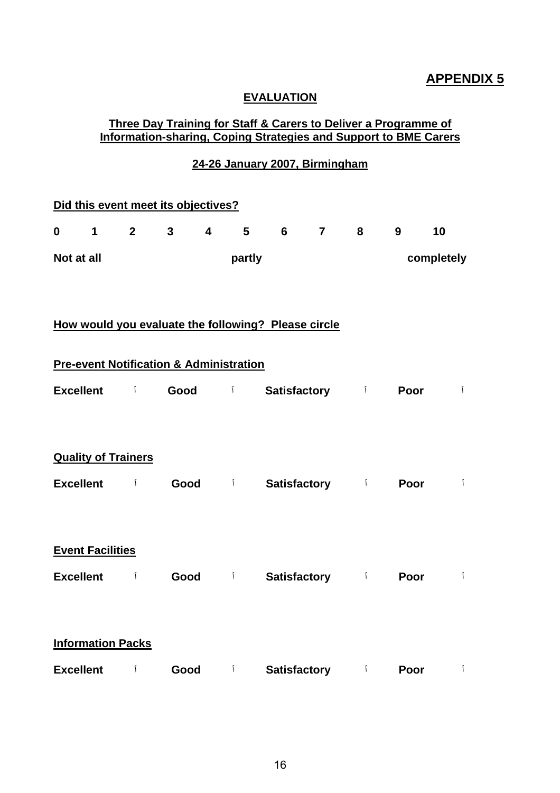#### **EVALUATION**

#### **Three Day Training for Staff & Carers to Deliver a Programme of Information-sharing, Coping Strategies and Support to BME Carers**

## **24-26 January 2007, Birmingham**

|                  |                                                |                | Did this event meet its objectives?                |                         |        |                                                     |          |                     |              |
|------------------|------------------------------------------------|----------------|----------------------------------------------------|-------------------------|--------|-----------------------------------------------------|----------|---------------------|--------------|
| $\mathbf 0$      | $\mathbf 1$                                    | $\overline{2}$ | $\mathbf{3}$                                       | $\overline{\mathbf{4}}$ | 5      | 6 <sup>1</sup>                                      | $7 \t 8$ | 9                   | 10           |
| Not at all       |                                                |                |                                                    |                         | partly |                                                     |          |                     | completely   |
|                  |                                                |                |                                                    |                         |        | How would you evaluate the following? Please circle |          |                     |              |
|                  |                                                |                | <b>Pre-event Notification &amp; Administration</b> |                         |        |                                                     |          |                     |              |
| <b>Excellent</b> |                                                | $\mathcal{I}$  | Good                                               |                         | $\int$ |                                                     |          | Satisfactory i Poor | Ĩ            |
|                  | <b>Quality of Trainers</b><br><b>Excellent</b> | $\mathbf{I}$   |                                                    |                         | Good i | <b>Satisfactory</b> i                               |          | Poor                | $\mathbf{r}$ |
|                  | <b>Event Facilities</b><br>Excellent i         |                |                                                    |                         | Good i | <b>Satisfactory</b> i                               |          | Poor                | $\mathbf{r}$ |
|                  | <b>Information Packs</b>                       |                |                                                    |                         |        |                                                     |          |                     |              |
| <b>Excellent</b> |                                                | Ĩ              | Good                                               |                         | $\int$ | <b>Satisfactory</b> i                               |          | Poor                | $\mathbf{r}$ |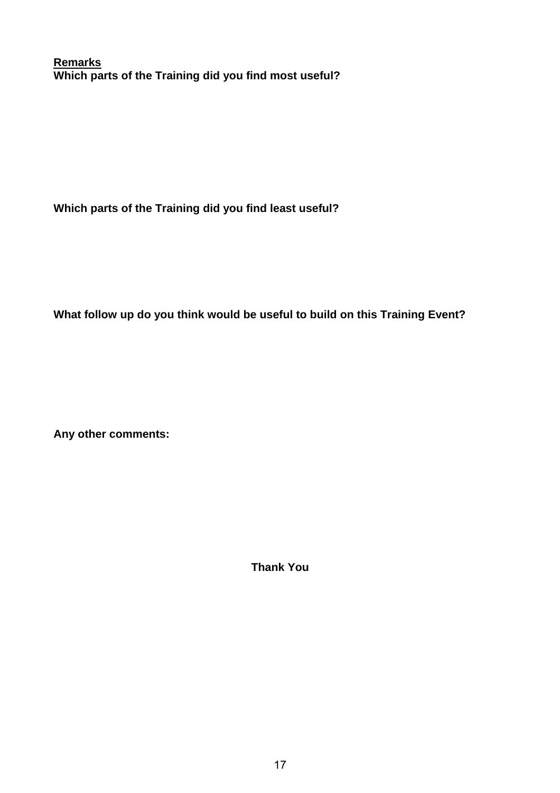**Remarks Which parts of the Training did you find most useful?** 

**Which parts of the Training did you find least useful?** 

**What follow up do you think would be useful to build on this Training Event?** 

**Any other comments:** 

**Thank You**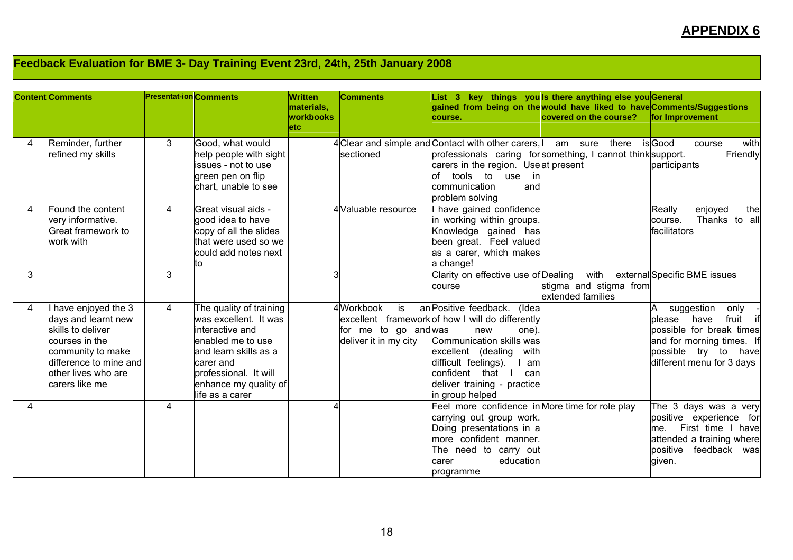# **Feedback Evaluation for BME 3- Day Training Event 23rd, 24th, 25th January 2008**

|   | <b>Content Comments</b>                                                                                                                                                  | <b>Presentat-ion Comments</b> |                                                                                                                                                                                                     | Written<br>materials,<br><b>workbooks</b><br>letc. | <b>Comments</b>                                                  | course.                                                                                                                                                                                                                                                               | List 3 key things you ls there anything else you General<br>gained from being on the would have liked to have Comments/Suggestions<br>covered on the course? | for Improvement                                                                                                                                                      |
|---|--------------------------------------------------------------------------------------------------------------------------------------------------------------------------|-------------------------------|-----------------------------------------------------------------------------------------------------------------------------------------------------------------------------------------------------|----------------------------------------------------|------------------------------------------------------------------|-----------------------------------------------------------------------------------------------------------------------------------------------------------------------------------------------------------------------------------------------------------------------|--------------------------------------------------------------------------------------------------------------------------------------------------------------|----------------------------------------------------------------------------------------------------------------------------------------------------------------------|
| 4 | Reminder, further<br>refined my skills                                                                                                                                   | 3                             | Good, what would<br>help people with sight<br>issues - not to use<br>green pen on flip<br>chart, unable to see                                                                                      |                                                    | sectioned                                                        | 4 Clear and simple and Contact with other carers.<br>carers in the region. Useat present<br>tools<br>to use<br>of<br>in<br>communication<br>and<br>problem solving                                                                                                    | there<br>am<br>sure<br>professionals caring forsomething, I cannot think support.                                                                            | is Good<br>with<br>course<br>Friendly<br>participants                                                                                                                |
| 4 | Found the content<br>very informative.<br>Great framework to<br>work with                                                                                                | $\overline{4}$                | Great visual aids -<br>good idea to have<br>copy of all the slides<br>that were used so we<br>could add notes next<br>to                                                                            |                                                    | 4 Valuable resource                                              | have gained confidence<br>in working within groups.<br>Knowledge gained has<br>been great. Feel valued<br>as a carer, which makes<br>a change!                                                                                                                        |                                                                                                                                                              | the<br>Really<br>enjoyed<br>Thanks to all<br>course.<br>facilitators                                                                                                 |
| 3 |                                                                                                                                                                          | 3                             |                                                                                                                                                                                                     | 3                                                  |                                                                  | Clarity on effective use of Dealing<br>course                                                                                                                                                                                                                         | with<br>stigma and stigma from<br>extended families                                                                                                          | external Specific BME issues                                                                                                                                         |
| 4 | have enjoyed the 3<br>days and learnt new<br>skills to deliver<br>courses in the<br>community to make<br>difference to mine and<br>other lives who are<br>carers like me | 4                             | The quality of training<br>was excellent. It was<br>interactive and<br>enabled me to use<br>and learn skills as a<br>carer and<br>professional. It will<br>enhance my quality of<br>life as a carer |                                                    | 4 Workbook<br>is<br>for me to go andwas<br>deliver it in my city | an Positive feedback.<br>(Idea<br>excellent framework of how I will do differently<br>new<br>one).<br>Communication skills was<br>excellent (dealing<br>with<br>difficult feelings).<br>am<br>confident that<br>can<br>deliver training - practice<br>in group helped |                                                                                                                                                              | suggestion<br>only<br>fruit<br>please<br>have<br>if<br>possible for break times<br>and for morning times. If<br>possible try to<br>have<br>different menu for 3 days |
| 4 |                                                                                                                                                                          | 4                             |                                                                                                                                                                                                     |                                                    |                                                                  | Feel more confidence in More time for role play<br>carrying out group work.<br>Doing presentations in a<br>more confident manner.<br>The need to carry out<br>education<br>carer<br>programme                                                                         |                                                                                                                                                              | The 3 days was a very<br>positive experience for<br>First time I<br>have<br>me.<br>attended a training where<br>positive feedback was<br>given.                      |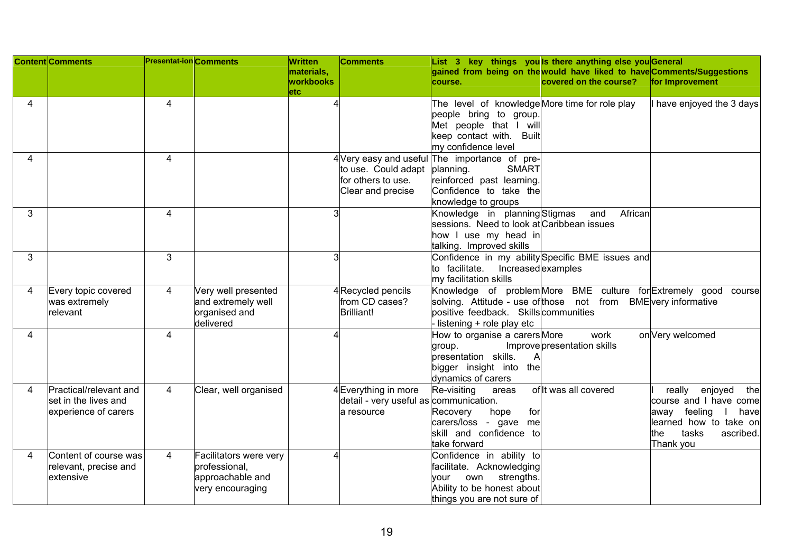|   | <b>Content Comments</b> | <b>Presentat-ion</b> Comments |                        | Written    | <b>Comments</b>                        |                                                | List 3 key things you ls there anything else you General               |                            |
|---|-------------------------|-------------------------------|------------------------|------------|----------------------------------------|------------------------------------------------|------------------------------------------------------------------------|----------------------------|
|   |                         |                               |                        | materials, |                                        |                                                | gained from being on the would have liked to have Comments/Suggestions |                            |
|   |                         |                               |                        | workbooks  |                                        | course.                                        | covered on the course?                                                 | for Improvement            |
|   |                         |                               |                        | etc.       |                                        |                                                |                                                                        |                            |
| 4 |                         | $\overline{4}$                |                        |            |                                        | The level of knowledge More time for role play |                                                                        | I have enjoyed the 3 days  |
|   |                         |                               |                        |            |                                        | people bring to group.                         |                                                                        |                            |
|   |                         |                               |                        |            |                                        | Met people that I will                         |                                                                        |                            |
|   |                         |                               |                        |            |                                        | keep contact with. Built                       |                                                                        |                            |
|   |                         |                               |                        |            |                                        | my confidence level                            |                                                                        |                            |
| 4 |                         | $\overline{4}$                |                        |            |                                        | 4 Very easy and useful The importance of pre-  |                                                                        |                            |
|   |                         |                               |                        |            | to use. Could adapt                    | planning.<br><b>SMART</b>                      |                                                                        |                            |
|   |                         |                               |                        |            | for others to use.                     | reinforced past learning.                      |                                                                        |                            |
|   |                         |                               |                        |            | Clear and precise                      | Confidence to take the                         |                                                                        |                            |
|   |                         |                               |                        |            |                                        | knowledge to groups                            |                                                                        |                            |
| 3 |                         | $\overline{4}$                |                        |            |                                        | Knowledge in planning Stigmas                  | and<br>African                                                         |                            |
|   |                         |                               |                        |            |                                        | sessions. Need to look at Caribbean issues     |                                                                        |                            |
|   |                         |                               |                        |            |                                        | how I use my head in                           |                                                                        |                            |
|   |                         |                               |                        |            |                                        | talking. Improved skills                       |                                                                        |                            |
| 3 |                         | 3                             |                        | 3          |                                        |                                                | Confidence in my ability Specific BME issues and                       |                            |
|   |                         |                               |                        |            |                                        | to facilitate. Increased examples              |                                                                        |                            |
|   |                         |                               |                        |            |                                        | my facilitation skills                         |                                                                        |                            |
| 4 | Every topic covered     | 4                             | Very well presented    |            | 4 Recycled pencils                     |                                                | Knowledge of problem More BME culture for Extremely good               | course                     |
|   | was extremely           |                               | and extremely well     |            | from CD cases?                         |                                                | solving. Attitude - use of those not from BME very informative         |                            |
|   | relevant                |                               | organised and          |            | Brilliant!                             | positive feedback. Skills communities          |                                                                        |                            |
|   |                         |                               | delivered              |            |                                        | listening + role play etc                      |                                                                        |                            |
| 4 |                         | $\overline{\mathbf{4}}$       |                        |            |                                        | How to organise a carers More                  | work                                                                   | on Very welcomed           |
|   |                         |                               |                        |            |                                        | group.                                         | Improve presentation skills                                            |                            |
|   |                         |                               |                        |            |                                        | presentation skills.                           |                                                                        |                            |
|   |                         |                               |                        |            |                                        | bigger insight into the                        |                                                                        |                            |
|   |                         |                               |                        |            |                                        | dynamics of carers                             |                                                                        |                            |
| 4 | Practical/relevant and  | $\overline{4}$                | Clear, well organised  |            | 4Everything in more                    | Re-visiting<br>areas                           | of It was all covered                                                  | really<br>enjoyed<br>the   |
|   | lset in the lives and   |                               |                        |            | detail - very useful as communication. |                                                |                                                                        | course and I have come     |
|   | experience of carers    |                               |                        |            | a resource                             | Recovery<br>hope<br>for                        |                                                                        | away feeling<br>have       |
|   |                         |                               |                        |            |                                        | carers/loss - gave me                          |                                                                        | learned how to take on     |
|   |                         |                               |                        |            |                                        | skill and confidence to                        |                                                                        | ascribed.<br>tasks<br>lthe |
|   |                         |                               |                        |            |                                        | take forward                                   |                                                                        | Thank you                  |
| 4 | Content of course was   | 4                             | Facilitators were very |            |                                        | Confidence in ability to                       |                                                                        |                            |
|   | relevant, precise and   |                               | professional,          |            |                                        | facilitate. Acknowledging                      |                                                                        |                            |
|   | extensive               |                               | approachable and       |            |                                        | strengths.<br>own<br>vour                      |                                                                        |                            |
|   |                         |                               | very encouraging       |            |                                        | Ability to be honest about                     |                                                                        |                            |
|   |                         |                               |                        |            |                                        | things you are not sure of                     |                                                                        |                            |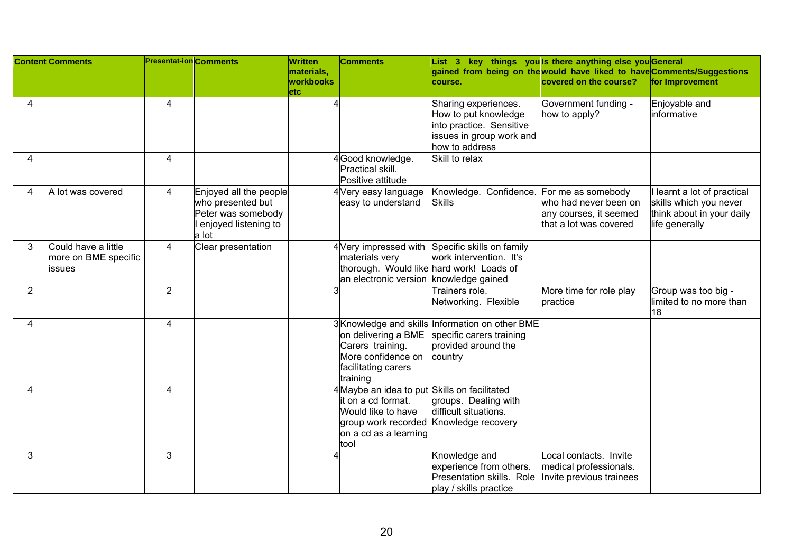|   | <b>Content Comments</b>                               | <b>Presentat-ion</b> Comments |                                                                                                    | Written                          | <b>Comments</b>                                                                                                                                  | List 3 key things you ls there anything else you General                                                                         |                                                                                                 |                                                                                                    |
|---|-------------------------------------------------------|-------------------------------|----------------------------------------------------------------------------------------------------|----------------------------------|--------------------------------------------------------------------------------------------------------------------------------------------------|----------------------------------------------------------------------------------------------------------------------------------|-------------------------------------------------------------------------------------------------|----------------------------------------------------------------------------------------------------|
|   |                                                       |                               |                                                                                                    | materials,<br>workbooks<br>letc⊹ |                                                                                                                                                  | gained from being on the would have liked to have Comments/Suggestions<br>course.                                                | covered on the course?                                                                          | for Improvement                                                                                    |
| 4 |                                                       | 4                             |                                                                                                    |                                  |                                                                                                                                                  | Sharing experiences.<br>How to put knowledge<br>into practice. Sensitive<br>issues in group work and<br>how to address           | Government funding -<br>how to apply?                                                           | Enjoyable and<br>informative                                                                       |
| 4 |                                                       | $\overline{4}$                |                                                                                                    |                                  | 4Good knowledge.<br>Practical skill.<br>Positive attitude                                                                                        | Skill to relax                                                                                                                   |                                                                                                 |                                                                                                    |
| 4 | A lot was covered                                     | 4                             | Enjoyed all the people<br>who presented but<br>Peter was somebody<br>enjoyed listening to<br>a lot |                                  | 4 Very easy language<br>easy to understand                                                                                                       | Knowledge. Confidence.<br><b>Skills</b>                                                                                          | For me as somebody<br>who had never been on<br>any courses, it seemed<br>that a lot was covered | learnt a lot of practical<br>skills which you never<br>think about in your daily<br>life generally |
| 3 | Could have a little<br>more on BME specific<br>issues | $\overline{4}$                | Clear presentation                                                                                 |                                  | materials very<br>thorough. Would like hard work! Loads of<br>an electronic version knowledge gained                                             | 4 Very impressed with Specific skills on family<br>work intervention. It's                                                       |                                                                                                 |                                                                                                    |
| 2 |                                                       | $\overline{2}$                |                                                                                                    |                                  |                                                                                                                                                  | Trainers role.<br>Networking. Flexible                                                                                           | More time for role play<br>practice                                                             | Group was too big -<br>limited to no more than<br>18                                               |
| 4 |                                                       | $\overline{4}$                |                                                                                                    |                                  | Carers training.<br>More confidence on<br>facilitating carers<br>training                                                                        | 3Knowledge and skills Information on other BME<br>on delivering a BME specific carers training<br>provided around the<br>country |                                                                                                 |                                                                                                    |
| 4 |                                                       | $\overline{4}$                |                                                                                                    |                                  | 4 Maybe an idea to put Skills on facilitated<br>it on a cd format.<br>Would like to have<br>group work recorded<br>on a cd as a learning<br>tool | groups. Dealing with<br>difficult situations.<br>Knowledge recovery                                                              |                                                                                                 |                                                                                                    |
| 3 |                                                       | 3                             |                                                                                                    |                                  |                                                                                                                                                  | Knowledge and<br>experience from others.<br>Presentation skills. Role<br>play / skills practice                                  | Local contacts. Invite<br>medical professionals.<br>Invite previous trainees                    |                                                                                                    |